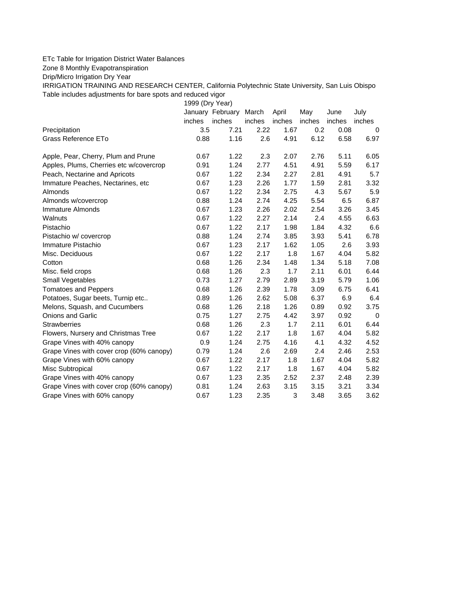## ETc Table for Irrigation District Water Balances

Zone 8 Monthly Evapotranspiration

Drip/Micro Irrigation Dry Year

IRRIGATION TRAINING AND RESEARCH CENTER, California Polytechnic State University, San Luis Obispo Table includes adjustments for bare spots and reduced vigor

1999 (Dry Year)

|                                          |        | January February | March  | April  | May    | June   | July     |
|------------------------------------------|--------|------------------|--------|--------|--------|--------|----------|
|                                          | inches | inches           | inches | inches | inches | inches | inches   |
| Precipitation                            | 3.5    | 7.21             | 2.22   | 1.67   | 0.2    | 0.08   | $\Omega$ |
| Grass Reference ETo                      | 0.88   | 1.16             | 2.6    | 4.91   | 6.12   | 6.58   | 6.97     |
| Apple, Pear, Cherry, Plum and Prune      | 0.67   | 1.22             | 2.3    | 2.07   | 2.76   | 5.11   | 6.05     |
| Apples, Plums, Cherries etc w/covercrop  | 0.91   | 1.24             | 2.77   | 4.51   | 4.91   | 5.59   | 6.17     |
| Peach, Nectarine and Apricots            | 0.67   | 1.22             | 2.34   | 2.27   | 2.81   | 4.91   | 5.7      |
| Immature Peaches, Nectarines, etc        | 0.67   | 1.23             | 2.26   | 1.77   | 1.59   | 2.81   | 3.32     |
| <b>Almonds</b>                           | 0.67   | 1.22             | 2.34   | 2.75   | 4.3    | 5.67   | 5.9      |
| Almonds w/covercrop                      | 0.88   | 1.24             | 2.74   | 4.25   | 5.54   | 6.5    | 6.87     |
| Immature Almonds                         | 0.67   | 1.23             | 2.26   | 2.02   | 2.54   | 3.26   | 3.45     |
| Walnuts                                  | 0.67   | 1.22             | 2.27   | 2.14   | 2.4    | 4.55   | 6.63     |
| Pistachio                                | 0.67   | 1.22             | 2.17   | 1.98   | 1.84   | 4.32   | 6.6      |
| Pistachio w/ covercrop                   | 0.88   | 1.24             | 2.74   | 3.85   | 3.93   | 5.41   | 6.78     |
| Immature Pistachio                       | 0.67   | 1.23             | 2.17   | 1.62   | 1.05   | 2.6    | 3.93     |
| Misc. Deciduous                          | 0.67   | 1.22             | 2.17   | 1.8    | 1.67   | 4.04   | 5.82     |
| Cotton                                   | 0.68   | 1.26             | 2.34   | 1.48   | 1.34   | 5.18   | 7.08     |
| Misc. field crops                        | 0.68   | 1.26             | 2.3    | 1.7    | 2.11   | 6.01   | 6.44     |
| <b>Small Vegetables</b>                  | 0.73   | 1.27             | 2.79   | 2.89   | 3.19   | 5.79   | 1.06     |
| <b>Tomatoes and Peppers</b>              | 0.68   | 1.26             | 2.39   | 1.78   | 3.09   | 6.75   | 6.41     |
| Potatoes, Sugar beets, Turnip etc        | 0.89   | 1.26             | 2.62   | 5.08   | 6.37   | 6.9    | 6.4      |
| Melons, Squash, and Cucumbers            | 0.68   | 1.26             | 2.18   | 1.26   | 0.89   | 0.92   | 3.75     |
| <b>Onions and Garlic</b>                 | 0.75   | 1.27             | 2.75   | 4.42   | 3.97   | 0.92   | 0        |
| <b>Strawberries</b>                      | 0.68   | 1.26             | 2.3    | 1.7    | 2.11   | 6.01   | 6.44     |
| Flowers, Nursery and Christmas Tree      | 0.67   | 1.22             | 2.17   | 1.8    | 1.67   | 4.04   | 5.82     |
| Grape Vines with 40% canopy              | 0.9    | 1.24             | 2.75   | 4.16   | 4.1    | 4.32   | 4.52     |
| Grape Vines with cover crop (60% canopy) | 0.79   | 1.24             | 2.6    | 2.69   | 2.4    | 2.46   | 2.53     |
| Grape Vines with 60% canopy              | 0.67   | 1.22             | 2.17   | 1.8    | 1.67   | 4.04   | 5.82     |
| Misc Subtropical                         | 0.67   | 1.22             | 2.17   | 1.8    | 1.67   | 4.04   | 5.82     |
| Grape Vines with 40% canopy              | 0.67   | 1.23             | 2.35   | 2.52   | 2.37   | 2.48   | 2.39     |
| Grape Vines with cover crop (60% canopy) | 0.81   | 1.24             | 2.63   | 3.15   | 3.15   | 3.21   | 3.34     |
| Grape Vines with 60% canopy              | 0.67   | 1.23             | 2.35   | 3      | 3.48   | 3.65   | 3.62     |